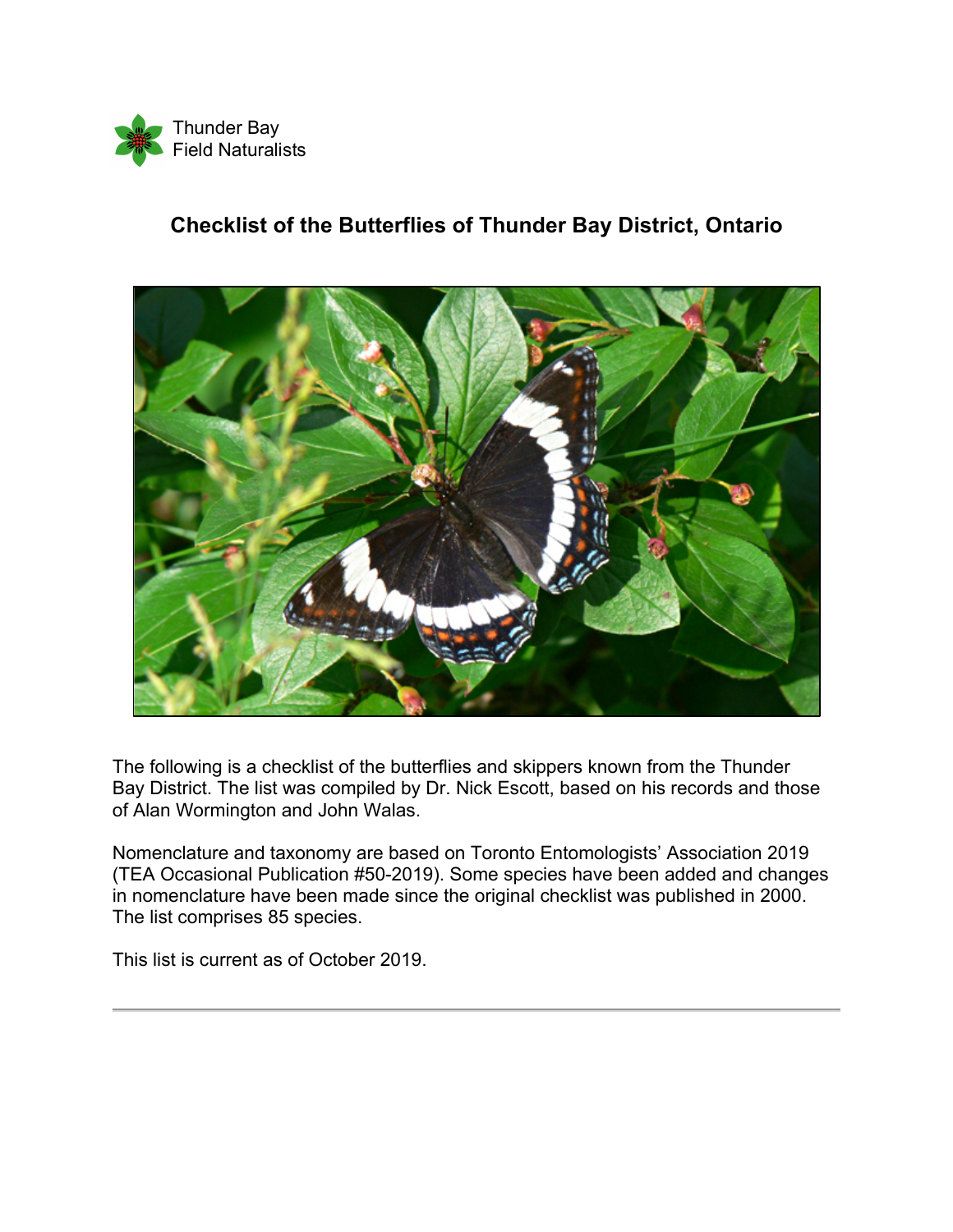

## **Checklist of the Butterflies of Thunder Bay District, Ontario**



The following is a checklist of the butterflies and skippers known from the Thunder Bay District. The list was compiled by Dr. Nick Escott, based on his records and those of Alan Wormington and John Walas.

Nomenclature and taxonomy are based on Toronto Entomologists' Association 2019 (TEA Occasional Publication #50-2019). Some species have been added and changes in nomenclature have been made since the original checklist was published in 2000. The list comprises 85 species.

This list is current as of October 2019.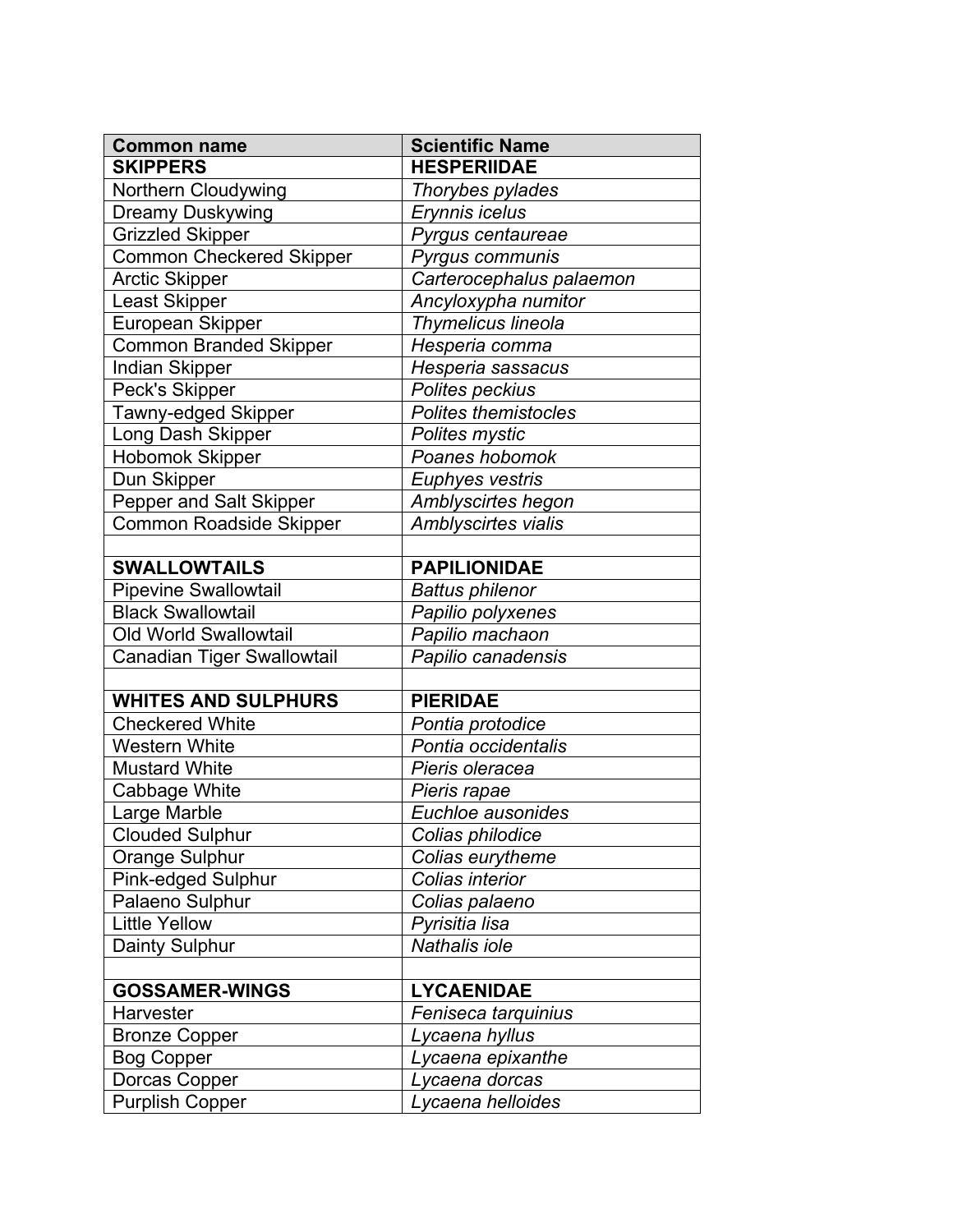| <b>Common name</b>                | <b>Scientific Name</b>      |
|-----------------------------------|-----------------------------|
| <b>SKIPPERS</b>                   | <b>HESPERIIDAE</b>          |
| Northern Cloudywing               | Thorybes pylades            |
| Dreamy Duskywing                  | Erynnis icelus              |
| <b>Grizzled Skipper</b>           | Pyrgus centaureae           |
| <b>Common Checkered Skipper</b>   | Pyrgus communis             |
| <b>Arctic Skipper</b>             | Carterocephalus palaemon    |
| <b>Least Skipper</b>              | Ancyloxypha numitor         |
| European Skipper                  | Thymelicus lineola          |
| <b>Common Branded Skipper</b>     | Hesperia comma              |
| Indian Skipper                    | Hesperia sassacus           |
| Peck's Skipper                    | Polites peckius             |
| Tawny-edged Skipper               | <b>Polites themistocles</b> |
| Long Dash Skipper                 | Polites mystic              |
| <b>Hobomok Skipper</b>            | Poanes hobomok              |
| Dun Skipper                       | Euphyes vestris             |
| Pepper and Salt Skipper           | Amblyscirtes hegon          |
| <b>Common Roadside Skipper</b>    | Amblyscirtes vialis         |
|                                   |                             |
| <b>SWALLOWTAILS</b>               | <b>PAPILIONIDAE</b>         |
| <b>Pipevine Swallowtail</b>       | <b>Battus philenor</b>      |
| <b>Black Swallowtail</b>          | Papilio polyxenes           |
| Old World Swallowtail             | Papilio machaon             |
| <b>Canadian Tiger Swallowtail</b> | Papilio canadensis          |
|                                   |                             |
| <b>WHITES AND SULPHURS</b>        | <b>PIERIDAE</b>             |
| <b>Checkered White</b>            | Pontia protodice            |
| <b>Western White</b>              | Pontia occidentalis         |
| <b>Mustard White</b>              | Pieris oleracea             |
| Cabbage White                     | Pieris rapae                |
| Large Marble                      | Euchloe ausonides           |
| <b>Clouded Sulphur</b>            | Colias philodice            |
| Orange Sulphur                    | Colias eurytheme            |
| <b>Pink-edged Sulphur</b>         | Colias interior             |
| Palaeno Sulphur                   | Colias palaeno              |
| <b>Little Yellow</b>              | Pyrisitia lisa              |
| Dainty Sulphur                    | Nathalis iole               |
|                                   |                             |
| <b>GOSSAMER-WINGS</b>             | <b>LYCAENIDAE</b>           |
| Harvester                         | Feniseca tarquinius         |
| <b>Bronze Copper</b>              | Lycaena hyllus              |
| <b>Bog Copper</b>                 | Lycaena epixanthe           |
| Dorcas Copper                     | Lycaena dorcas              |
| <b>Purplish Copper</b>            | Lycaena helloides           |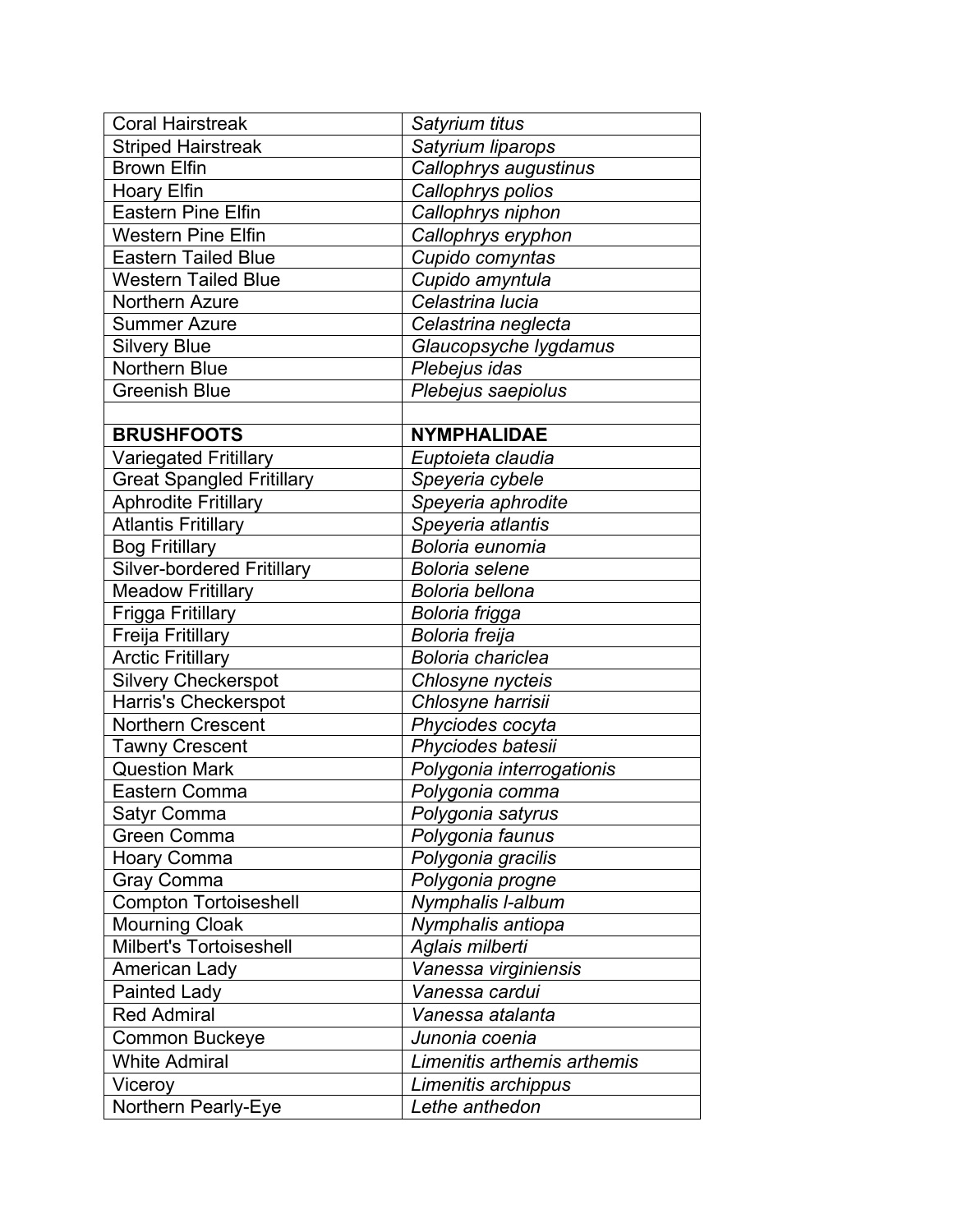| <b>Coral Hairstreak</b>           | Satyrium titus              |
|-----------------------------------|-----------------------------|
| <b>Striped Hairstreak</b>         | Satyrium liparops           |
| <b>Brown Elfin</b>                | Callophrys augustinus       |
| <b>Hoary Elfin</b>                | Callophrys polios           |
| <b>Eastern Pine Elfin</b>         | Callophrys niphon           |
| <b>Western Pine Elfin</b>         | Callophrys eryphon          |
| <b>Eastern Tailed Blue</b>        | Cupido comyntas             |
| <b>Western Tailed Blue</b>        | Cupido amyntula             |
| Northern Azure                    | Celastrina lucia            |
| <b>Summer Azure</b>               | Celastrina neglecta         |
| <b>Silvery Blue</b>               | Glaucopsyche lygdamus       |
| <b>Northern Blue</b>              | Plebejus idas               |
| <b>Greenish Blue</b>              | Plebejus saepiolus          |
|                                   |                             |
| <b>BRUSHFOOTS</b>                 | <b>NYMPHALIDAE</b>          |
| <b>Variegated Fritillary</b>      | Euptoieta claudia           |
| <b>Great Spangled Fritillary</b>  | Speyeria cybele             |
| <b>Aphrodite Fritillary</b>       | Speyeria aphrodite          |
| <b>Atlantis Fritillary</b>        | Speyeria atlantis           |
| <b>Bog Fritillary</b>             | Boloria eunomia             |
| <b>Silver-bordered Fritillary</b> | <b>Boloria</b> selene       |
| <b>Meadow Fritillary</b>          | Boloria bellona             |
| Frigga Fritillary                 | Boloria frigga              |
| Freija Fritillary                 | Boloria freija              |
| <b>Arctic Fritillary</b>          | Boloria chariclea           |
| <b>Silvery Checkerspot</b>        | Chlosyne nycteis            |
| Harris's Checkerspot              | Chlosyne harrisii           |
| <b>Northern Crescent</b>          | Phyciodes cocyta            |
| <b>Tawny Crescent</b>             | Phyciodes batesii           |
| <b>Question Mark</b>              | Polygonia interrogationis   |
| Eastern Comma                     | Polygonia comma             |
| Satyr Comma                       | Polygonia satyrus           |
| Green Comma                       | Polygonia faunus            |
| <b>Hoary Comma</b>                | Polygonia gracilis          |
| Gray Comma                        | Polygonia progne            |
| <b>Compton Tortoiseshell</b>      | Nymphalis I-album           |
| <b>Mourning Cloak</b>             | Nymphalis antiopa           |
| <b>Milbert's Tortoiseshell</b>    | Aglais milberti             |
| American Lady                     | Vanessa virginiensis        |
| Painted Lady                      | Vanessa cardui              |
| <b>Red Admiral</b>                | Vanessa atalanta            |
| Common Buckeye                    | Junonia coenia              |
| <b>White Admiral</b>              | Limenitis arthemis arthemis |
| Viceroy                           | Limenitis archippus         |
| Northern Pearly-Eye               | Lethe anthedon              |